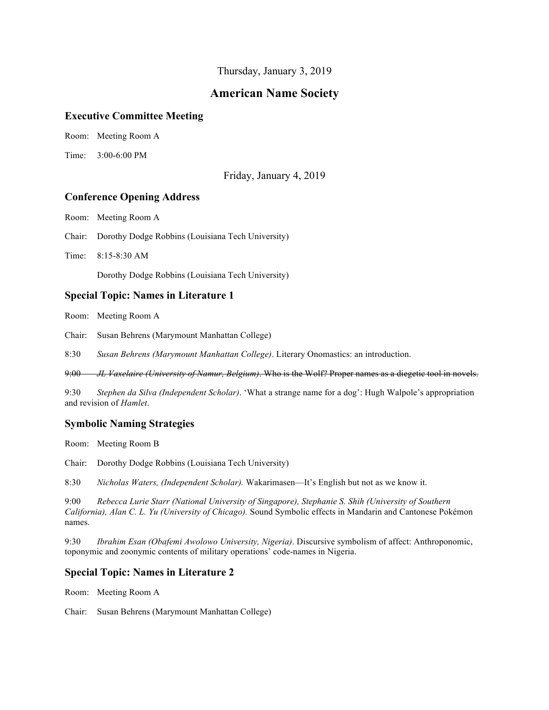Thursday, January 3, 2019

# **American Name Society**

#### **Executive Committee Meeting**

Room: Meeting Room A

Time: 3:00-6:00 PM

Friday, January 4, 2019

# **Conference Opening Address**

Room: Meeting Room A

Chair: Dorothy Dodge Robbins (Louisiana Tech University)

Time: 8:15-8:30 AM

Dorothy Dodge Robbins (Louisiana Tech University)

## **Special Topic: Names in Literature 1**

Room: Meeting Room A

Chair: Susan Behrens (Marymount Manhattan College)

8:30 *Susan Behrens (Marymount Manhattan College)*. Literary Onomastics: an introduction.

9:00 *JL Vaxelaire (University of Namur, Belgium)*. Who is the Wolf? Proper names as a diegetic tool in novels.

9:30 *Stephen da Silva (Independent Scholar)*. 'What a strange name for a dog': Hugh Walpole's appropriation and revision of *Hamlet*.

# **Symbolic Naming Strategies**

Room: Meeting Room B

Chair: Dorothy Dodge Robbins (Louisiana Tech University)

8:30 *Nicholas Waters, (Independent Scholar).* Wakarimasen—It's English but not as we know it.

9:00 *Rebecca Lurie Starr (National University of Singapore), Stephanie S. Shih (University of Southern California), Alan C. L. Yu (University of Chicago).* Sound Symbolic effects in Mandarin and Cantonese Pokémon names.

9:30 *Ibrahim Esan (Obafemi Awolowo University, Nigeria)*. Discursive symbolism of affect: Anthroponomic, toponymic and zoonymic contents of military operations' code-names in Nigeria.

# **Special Topic: Names in Literature 2**

Room: Meeting Room A

Chair: Susan Behrens (Marymount Manhattan College)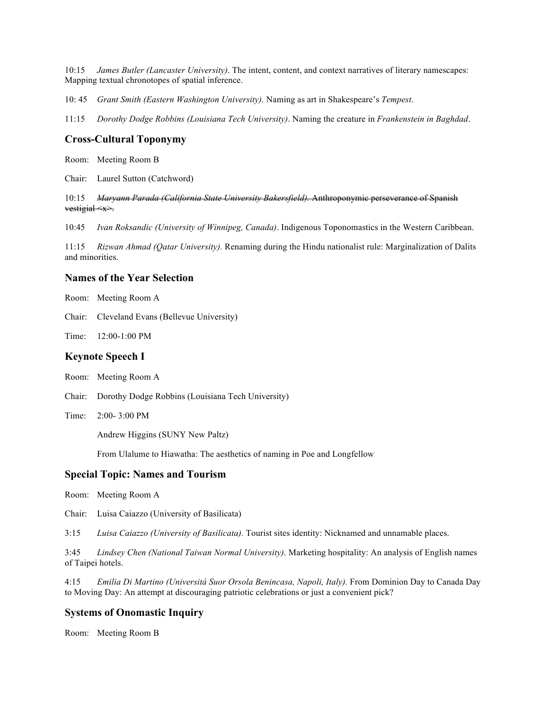10:15 *James Butler (Lancaster University)*. The intent, content, and context narratives of literary namescapes: Mapping textual chronotopes of spatial inference.

10: 45 *Grant Smith (Eastern Washington University).* Naming as art in Shakespeare's *Tempest*.

11:15 *Dorothy Dodge Robbins (Louisiana Tech University)*. Naming the creature in *Frankenstein in Baghdad*.

#### **Cross-Cultural Toponymy**

Room: Meeting Room B

Chair: Laurel Sutton (Catchword)

10:15 *Maryann Parada (California State University Bakersfield).* Anthroponymic perseverance of Spanish vestigial <x>.

10:45 *Ivan Roksandic (University of Winnipeg, Canada)*. Indigenous Toponomastics in the Western Caribbean.

11:15 *Rizwan Ahmad (Qatar University).* Renaming during the Hindu nationalist rule: Marginalization of Dalits and minorities.

#### **Names of the Year Selection**

Room: Meeting Room A

Chair: Cleveland Evans (Bellevue University)

Time: 12:00-1:00 PM

#### **Keynote Speech I**

Room: Meeting Room A

- Chair: Dorothy Dodge Robbins (Louisiana Tech University)
- Time: 2:00- 3:00 PM

Andrew Higgins (SUNY New Paltz)

From Ulalume to Hiawatha: The aesthetics of naming in Poe and Longfellow

#### **Special Topic: Names and Tourism**

Room: Meeting Room A

Chair: Luisa Caiazzo (University of Basilicata)

3:15 *Luisa Caiazzo (University of Basilicata).* Tourist sites identity: Nicknamed and unnamable places.

3:45 *Lindsey Chen (National Taiwan Normal University)*. Marketing hospitality: An analysis of English names of Taipei hotels.

4:15 *Emilia Di Martino (Universitá Suor Orsola Benincasa, Napoli, Italy).* From Dominion Day to Canada Day to Moving Day: An attempt at discouraging patriotic celebrations or just a convenient pick?

## **Systems of Onomastic Inquiry**

Room: Meeting Room B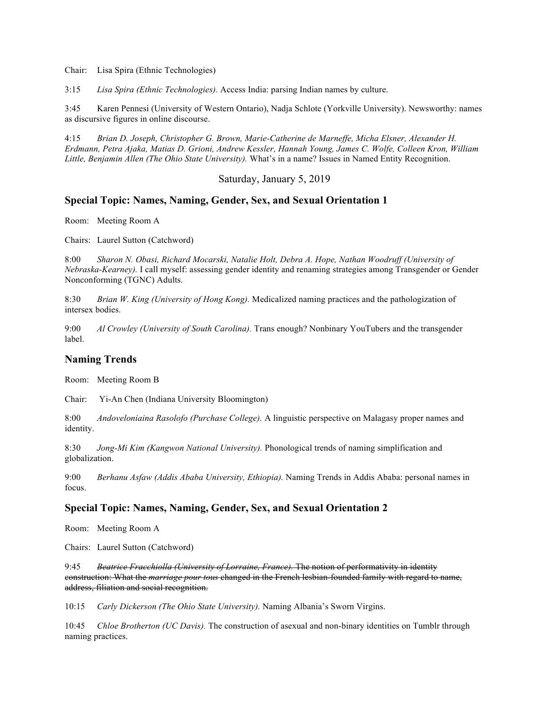Chair: Lisa Spira (Ethnic Technologies)

3:15 *Lisa Spira (Ethnic Technologies).* Access India: parsing Indian names by culture.

3:45 Karen Pennesi (University of Western Ontario), Nadja Schlote (Yorkville University). Newsworthy: names as discursive figures in online discourse.

4:15 *Brian D. Joseph, Christopher G. Brown, Marie-Catherine de Marneffe, Micha Elsner, Alexander H. Erdmann, Petra Ajaka, Matias D. Grioni, Andrew Kessler, Hannah Young, James C. Wolfe, Colleen Kron, William Little, Benjamin Allen (The Ohio State University).* What's in a name? Issues in Named Entity Recognition.

Saturday, January 5, 2019

#### **Special Topic: Names, Naming, Gender, Sex, and Sexual Orientation 1**

Room: Meeting Room A

Chairs: Laurel Sutton (Catchword)

8:00 *Sharon N. Obasi, Richard Mocarski, Natalie Holt, Debra A. Hope, Nathan Woodruff (University of Nebraska-Kearney).* I call myself: assessing gender identity and renaming strategies among Transgender or Gender Nonconforming (TGNC) Adults.

8:30 *Brian W. King (University of Hong Kong).* Medicalized naming practices and the pathologization of intersex bodies.

9:00 *Al Crowley (University of South Carolina).* Trans enough? Nonbinary YouTubers and the transgender label.

### **Naming Trends**

Room: Meeting Room B

Chair: Yi-An Chen (Indiana University Bloomington)

8:00 *Andoveloniaina Rasolofo (Purchase College).* A linguistic perspective on Malagasy proper names and identity.

8:30 *Jong-Mi Kim (Kangwon National University).* Phonological trends of naming simplification and globalization.

9:00 *Berhanu Asfaw (Addis Ababa University, Ethiopia).* Naming Trends in Addis Ababa: personal names in focus.

# **Special Topic: Names, Naming, Gender, Sex, and Sexual Orientation 2**

Room: Meeting Room A

Chairs: Laurel Sutton (Catchword)

9:45 *Beatrice Fracchiolla (University of Lorraine, France).* The notion of performativity in identity construction: What the *marriage pour tous* changed in the French lesbian-founded family with regard to name, address, filiation and social recognition.

10:15 *Carly Dickerson (The Ohio State University).* Naming Albania's Sworn Virgins.

10:45 *Chloe Brotherton (UC Davis).* The construction of asexual and non-binary identities on Tumblr through naming practices.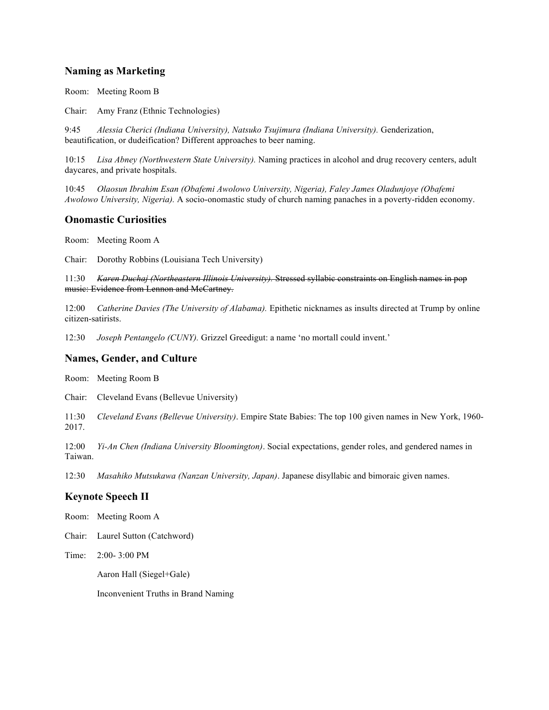# **Naming as Marketing**

Room: Meeting Room B

Chair: Amy Franz (Ethnic Technologies)

9:45 *Alessia Cherici (Indiana University), Natsuko Tsujimura (Indiana University).* Genderization, beautification, or dudeification? Different approaches to beer naming.

10:15 *Lisa Abney (Northwestern State University).* Naming practices in alcohol and drug recovery centers, adult daycares, and private hospitals.

10:45 *Olaosun Ibrahim Esan (Obafemi Awolowo University, Nigeria), Faley James Oladunjoye (Obafemi Awolowo University, Nigeria).* A socio-onomastic study of church naming panaches in a poverty-ridden economy.

#### **Onomastic Curiosities**

Room: Meeting Room A

Chair: Dorothy Robbins (Louisiana Tech University)

11:30 *Karen Duchaj (Northeastern Illinois University).* Stressed syllabic constraints on English names in pop music: Evidence from Lennon and McCartney.

12:00 *Catherine Davies (The University of Alabama).* Epithetic nicknames as insults directed at Trump by online citizen-satirists.

12:30 *Joseph Pentangelo (CUNY).* Grizzel Greedigut: a name 'no mortall could invent.'

#### **Names, Gender, and Culture**

Room: Meeting Room B

Chair: Cleveland Evans (Bellevue University)

11:30 *Cleveland Evans (Bellevue University)*. Empire State Babies: The top 100 given names in New York, 1960- 2017.

12:00 *Yi-An Chen (Indiana University Bloomington)*. Social expectations, gender roles, and gendered names in Taiwan.

12:30 *Masahiko Mutsukawa (Nanzan University, Japan)*. Japanese disyllabic and bimoraic given names.

# **Keynote Speech II**

Room: Meeting Room A

Chair: Laurel Sutton (Catchword)

Time: 2:00- 3:00 PM

Aaron Hall (Siegel+Gale)

Inconvenient Truths in Brand Naming